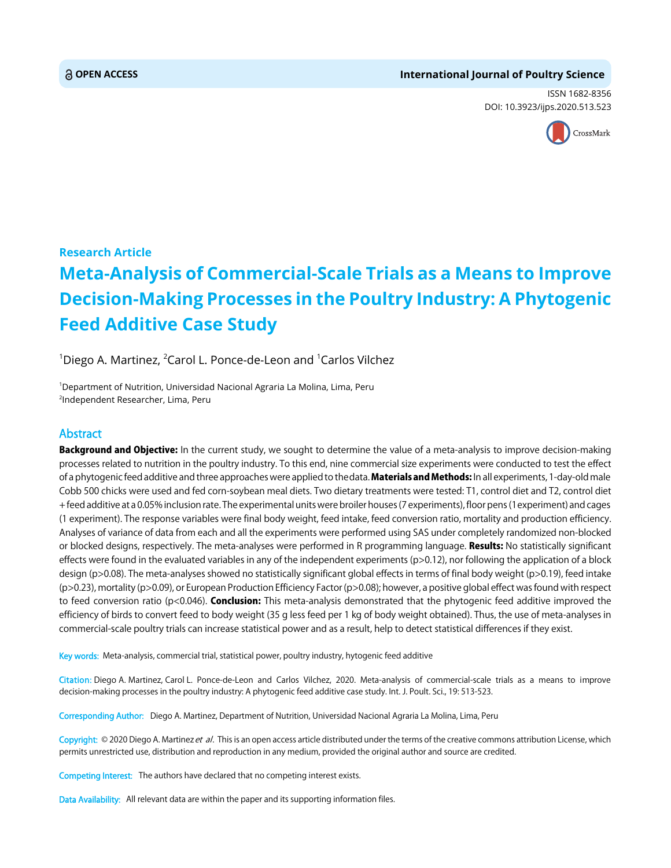# **OPEN ACCESS International Journal of Poultry Science**

ISSN 1682-8356 DOI: 10.3923/ijps.2020.513.523



# **Research Article Meta-Analysis of Commercial-Scale Trials as a Means to Improve Decision-Making Processes in the Poultry Industry: A Phytogenic Feed Additive Case Study**

<sup>1</sup>Diego A. Martinez, <sup>2</sup>Carol L. Ponce-de-Leon and <sup>1</sup>Carlos Vilchez

<sup>1</sup>Department of Nutrition, Universidad Nacional Agraria La Molina, Lima, Peru 2 Independent Researcher, Lima, Peru

# Abstract

Background and Objective: In the current study, we sought to determine the value of a meta-analysis to improve decision-making processes related to nutrition in the poultry industry. To this end, nine commercial size experiments were conducted to test the effect of a phytogenic feed additive and three approaches were applied to thedata. Materials and Methods: In all experiments, 1-day-old male Cobb 500 chicks were used and fed corn-soybean meal diets. Two dietary treatments were tested: T1, control diet and T2, control diet + feed additive at a 0.05% inclusion rate. The experimental units werebroilerhouses (7 experiments), floor pens (1experiment) andcages (1 experiment). The response variables were final body weight, feed intake, feed conversion ratio, mortality and production efficiency. Analyses of variance of data from each and all the experiments were performed using SAS under completely randomized non-blocked or blocked designs, respectively. The meta-analyses were performed in R programming language. Results: No statistically significant effects were found in the evaluated variables in any of the independent experiments (p>0.12), nor following the application of a block design (p>0.08). The meta-analyses showed no statistically significant global effects in terms of final body weight (p>0.19), feed intake (p>0.23), mortality (p>0.09), or European Production Efficiency Factor (p>0.08); however, a positive global effect was found with respect to feed conversion ratio ( $p<0.046$ ). **Conclusion:** This meta-analysis demonstrated that the phytogenic feed additive improved the efficiency of birds to convert feed to body weight (35 g less feed per 1 kg of body weight obtained). Thus, the use of meta-analyses in commercial-scale poultry trials can increase statistical power and as a result, help to detect statistical differences if they exist.

Key words: Meta-analysis, commercial trial, statistical power, poultry industry, hytogenic feed additive

Citation: Diego A. Martinez, Carol L. Ponce-de-Leon and Carlos Vilchez, 2020. Meta-analysis of commercial-scale trials as a means to improve decision-making processes in the poultry industry: A phytogenic feed additive case study. Int. J. Poult. Sci., 19: 513-523.

Corresponding Author: Diego A. Martinez, Department of Nutrition, Universidad Nacional Agraria La Molina, Lima, Peru

Copyright: © 2020 Diego A. Martinez et al. This is an open access article distributed under the terms of the creative commons attribution License, which permits unrestricted use, distribution and reproduction in any medium, provided the original author and source are credited.

Competing Interest: The authors have declared that no competing interest exists.

Data Availability: All relevant data are within the paper and its supporting information files.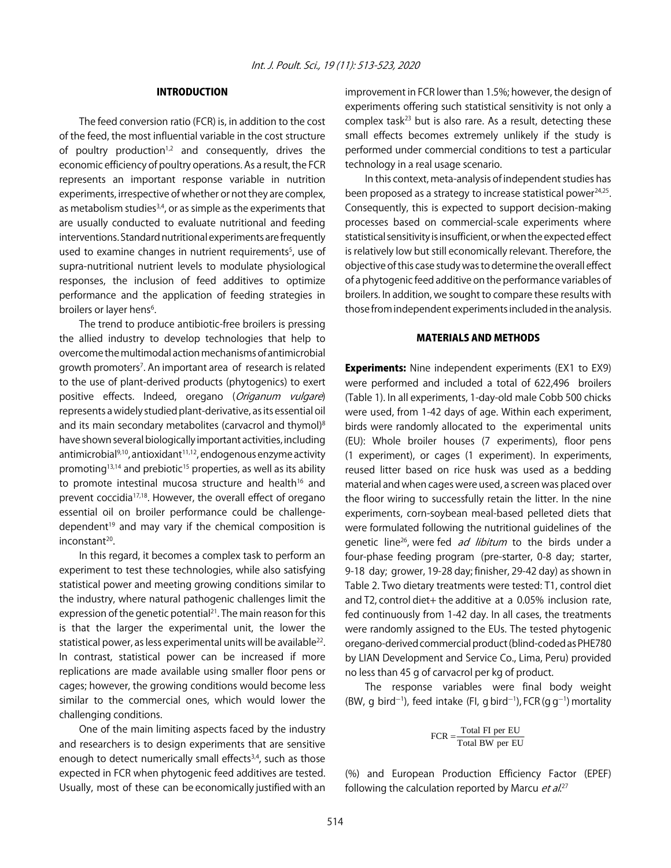# INTRODUCTION

The feed conversion ratio (FCR) is, in addition to the cost of the feed, the most influential variable in the cost structure of poultry production<sup>1,2</sup> and consequently, drives the economic efficiency of poultry operations. As a result, the FCR represents an important response variable in nutrition experiments, irrespective of whether or not they are complex, as metabolism studies<sup>3,4</sup>, or as simple as the experiments that are usually conducted to evaluate nutritional and feeding interventions. Standard nutritional experiments are frequently used to examine changes in nutrient requirements<sup>5</sup>, use of supra-nutritional nutrient levels to modulate physiological responses, the inclusion of feed additives to optimize performance and the application of feeding strategies in broilers or layer hens<sup>6</sup>.

The trend to produce antibiotic-free broilers is pressing the allied industry to develop technologies that help to overcome the multimodal action mechanisms of antimicrobial growth promoters<sup>7</sup>. An important area of research is related to the use of plant-derived products (phytogenics) to exert positive effects. Indeed, oregano (Origanum vulgare) represents a widely studied plant-derivative, as its essential oil and its main secondary metabolites (carvacrol and thymol)<sup>8</sup> have shown several biologically important activities, including antimicrobial $9,10$ , antioxidant $11,12$ , endogenous enzyme activity promoting<sup>13,14</sup> and prebiotic<sup>15</sup> properties, as well as its ability to promote intestinal mucosa structure and health<sup>16</sup> and prevent coccidia<sup>17,18</sup>. However, the overall effect of oregano essential oil on broiler performance could be challengedependent<sup>19</sup> and may vary if the chemical composition is inconstant<sup>20</sup>.

In this regard, it becomes a complex task to perform an experiment to test these technologies, while also satisfying statistical power and meeting growing conditions similar to the industry, where natural pathogenic challenges limit the expression of the genetic potential<sup>21</sup>. The main reason for this is that the larger the experimental unit, the lower the statistical power, as less experimental units will be available<sup>22</sup>. In contrast, statistical power can be increased if more replications are made available using smaller floor pens or cages; however, the growing conditions would become less similar to the commercial ones, which would lower the challenging conditions.

One of the main limiting aspects faced by the industry and researchers is to design experiments that are sensitive enough to detect numerically small effects<sup>3,4</sup>, such as those expected in FCR when phytogenic feed additives are tested. Usually, most of these can be economically justified with an

improvement in FCR lower than 1.5%; however, the design of experiments offering such statistical sensitivity is not only a complex task $^{23}$  but is also rare. As a result, detecting these small effects becomes extremely unlikely if the study is performed under commercial conditions to test a particular technology in a real usage scenario.

In this context, meta-analysis of independent studies has been proposed as a strategy to increase statistical power $24,25$ . Consequently, this is expected to support decision-making processes based on commercial-scale experiments where statistical sensitivity is insufficient, or when the expected effect is relatively low but still economically relevant. Therefore, the objective of this case study was to determine the overall effect of a phytogenic feed additive on the performance variables of broilers. In addition, we sought to compare these results with those from independent experiments included in the analysis.

# MATERIALS AND METHODS

**Experiments:** Nine independent experiments (EX1 to EX9) were performed and included a total of 622,496 broilers (Table 1). In all experiments, 1-day-old male Cobb 500 chicks were used, from 1-42 days of age. Within each experiment, birds were randomly allocated to the experimental units (EU): Whole broiler houses (7 experiments), floor pens (1 experiment), or cages (1 experiment). In experiments, reused litter based on rice husk was used as a bedding material and when cages were used, a screen was placed over the floor wiring to successfully retain the litter. In the nine experiments, corn-soybean meal-based pelleted diets that were formulated following the nutritional guidelines of the genetic line<sup>26</sup>, were fed *ad libitum* to the birds under a four-phase feeding program (pre-starter, 0-8 day; starter, 9-18 day; grower, 19-28 day; finisher, 29-42 day) as shown in Table 2. Two dietary treatments were tested: T1, control diet and T2, control diet+ the additive at a 0.05% inclusion rate, fed continuously from 1-42 day. In all cases, the treatments were randomly assigned to the EUs. The tested phytogenic oregano-derived commercial product (blind-coded as PHE780 by LIAN Development and Service Co., Lima, Peru) provided no less than 45 g of carvacrol per kg of product.

The response variables were final body weight (BW, g bird<sup>-1</sup>), feed intake (FI, g bird<sup>-1</sup>), FCR (g g<sup>-1</sup>) mortality

$$
FCR = \frac{\text{Total FI per EU}}{\text{Total BW per EU}}
$$

(%) and European Production Efficiency Factor (EPEF) following the calculation reported by Marcu *et al.*<sup>27</sup>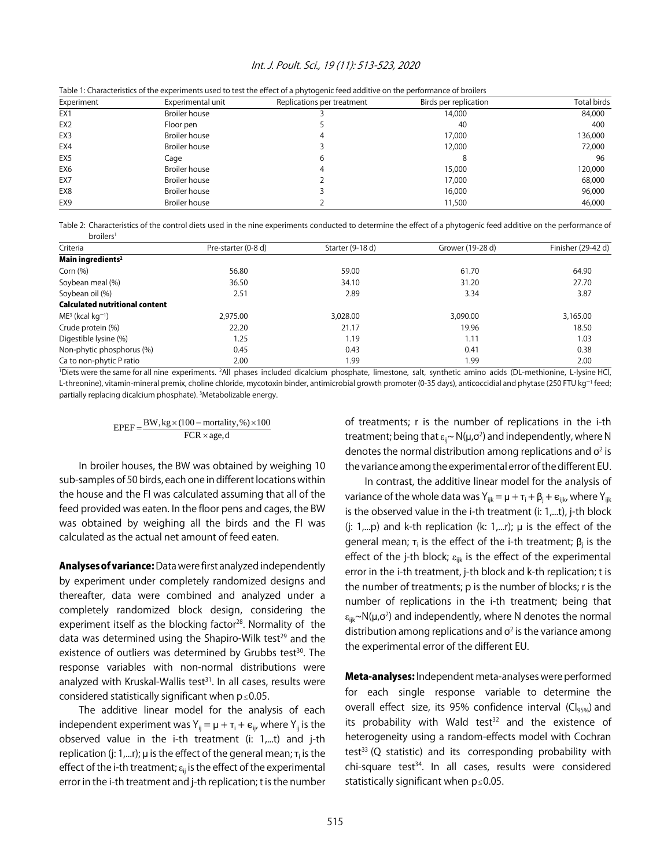#### Int. J. Poult. Sci., 19 (11): 513-523, 2020

| Experiment      | Experimental unit    | Replications per treatment | Birds per replication | Total birds |
|-----------------|----------------------|----------------------------|-----------------------|-------------|
| EX1             | Broiler house        |                            | 14,000                | 84,000      |
| EX <sub>2</sub> | Floor pen            |                            | -40                   | 400         |
| EX3             | Broiler house        |                            | 17,000                | 136,000     |
| EX4             | Broiler house        |                            | 12,000                | 72,000      |
| EX <sub>5</sub> | Cage                 | 6                          |                       | 96          |
| EX <sub>6</sub> | Broiler house        |                            | 15,000                | 120,000     |
| EX7             | <b>Broiler house</b> |                            | 17,000                | 68,000      |
| EX8             | <b>Broiler house</b> |                            | 16,000                | 96,000      |
| EX <sub>9</sub> | <b>Broiler house</b> |                            | 11,500                | 46,000      |

Table 1: Characteristics of the experiments used to test the effect of a phytogenic feed additive on the performance of broilers

Table 2: Characteristics of the control diets used in the nine experiments conducted to determine the effect of a phytogenic feed additive on the performance of broilers1

| Criteria                              | Pre-starter (0-8 d) | Starter (9-18 d) | Grower (19-28 d) | Finisher (29-42 d) |
|---------------------------------------|---------------------|------------------|------------------|--------------------|
| Main ingredients <sup>2</sup>         |                     |                  |                  |                    |
| Corn $(%)$                            | 56.80               | 59.00            | 61.70            | 64.90              |
| Soybean meal (%)                      | 36.50               | 34.10            | 31.20            | 27.70              |
| Soybean oil (%)                       | 2.51                | 2.89             | 3.34             | 3.87               |
| <b>Calculated nutritional content</b> |                     |                  |                  |                    |
| $ME^3$ (kcal kg <sup>-1</sup> )       | 2,975.00            | 3.028.00         | 3.090.00         | 3,165.00           |
| Crude protein (%)                     | 22.20               | 21.17            | 19.96            | 18.50              |
| Digestible lysine (%)                 | 1.25                | 1.19             | 1.11             | 1.03               |
| Non-phytic phosphorus (%)             | 0.45                | 0.43             | 0.41             | 0.38               |
| Ca to non-phytic P ratio              | 2.00                | 1.99             | 1.99             | 2.00               |

'Diets were the same for all nine experiments. <sup>2</sup>All phases included dicalcium phosphate, limestone, salt, synthetic amino acids (DL-methionine, L-lysine HCl, L-threonine), vitamin-mineral premix, choline chloride, mycotoxin binder, antimicrobial growth promoter (0-35 days), anticoccidial and phytase (250 FTU kg<sup>-1</sup> feed; partially replacing dicalcium phosphate). 3 Metabolizable energy.

$$
EPEF = \frac{BW, kg \times (100 - mortality, %) \times 100}{FCR \times age, d}
$$

In broiler houses, the BW was obtained by weighing 10 sub-samples of 50 birds, each one in different locations within the house and the FI was calculated assuming that all of the feed provided was eaten. In the floor pens and cages, the BW was obtained by weighing all the birds and the FI was calculated as the actual net amount of feed eaten.

Analyses of variance: Data were first analyzed independently by experiment under completely randomized designs and thereafter, data were combined and analyzed under a completely randomized block design, considering the experiment itself as the blocking factor<sup>28</sup>. Normality of the data was determined using the Shapiro-Wilk test<sup>29</sup> and the existence of outliers was determined by Grubbs test<sup>30</sup>. The response variables with non-normal distributions were analyzed with Kruskal-Wallis test $31$ . In all cases, results were considered statistically significant when  $p \le 0.05$ .

The additive linear model for the analysis of each independent experiment was  $Y_{ij} = \mu + \tau_i + \varepsilon_{ij}$ , where  $Y_{ij}$  is the observed value in the i-th treatment (i: 1,...t) and j-th replication (j: 1,...r);  $\mu$  is the effect of the general mean;  $\tau_i$  is the effect of the i-th treatment;  $\varepsilon_{ii}$  is the effect of the experimental error in the i-th treatment and j-th replication; t is the number of treatments; r is the number of replications in the i-th treatment; being that  $\varepsilon_{\sf ii}$ ~ N(µ, $\sigma^2$ ) and independently, where N denotes the normal distribution among replications and  $\sigma^2$  is the variance among the experimental error of the different EU.

In contrast, the additive linear model for the analysis of variance of the whole data was  $Y_{ijk} = \mu + \tau_i + \beta_i + \varepsilon_{ijk}$ , where  $Y_{ijk}$ is the observed value in the i-th treatment (i: 1,...t), j-th block (j:  $1,...p$ ) and k-th replication (k:  $1,...r$ );  $\mu$  is the effect of the general mean;  $\tau_i$  is the effect of the i-th treatment;  $\beta_i$  is the effect of the j-th block;  $\varepsilon_{ijk}$  is the effect of the experimental error in the i-th treatment, j-th block and k-th replication; t is the number of treatments; p is the number of blocks; r is the number of replications in the i-th treatment; being that ε<sub>iik</sub>~N(μ,σ<sup>2</sup>) and independently, where N denotes the normal distribution among replications and  $\sigma^2$  is the variance among the experimental error of the different EU.

Meta-analyses: Independent meta-analyses were performed for each single response variable to determine the overall effect size, its 95% confidence interval ( $Cl<sub>95%</sub>$ ) and its probability with Wald test $32$  and the existence of heterogeneity using a random-effects model with Cochran test<sup>33</sup> (Q statistic) and its corresponding probability with chi-square test<sup>34</sup>. In all cases, results were considered statistically significant when  $p \le 0.05$ .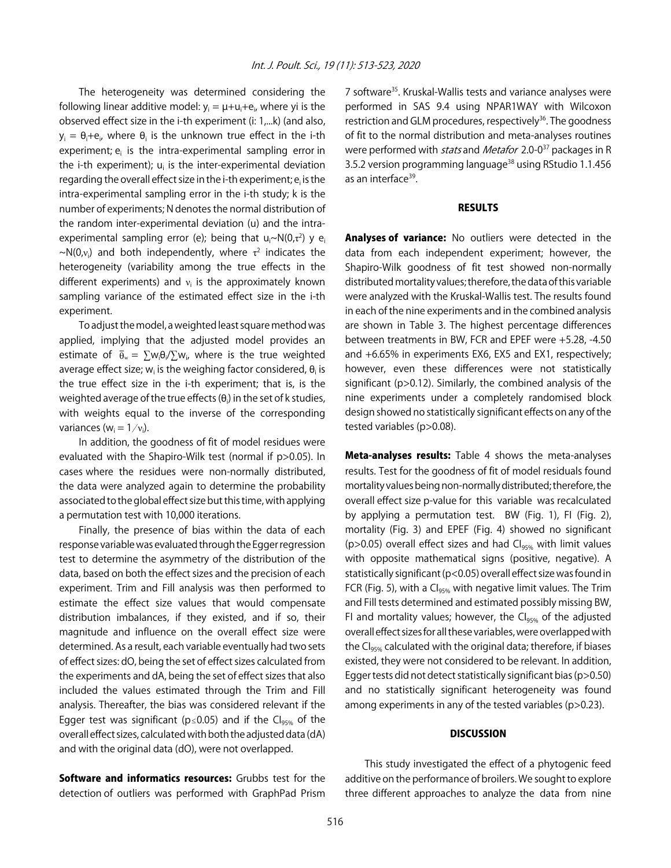The heterogeneity was determined considering the following linear additive model:  $y_i = \mu + u_i + e_i$ , where yi is the observed effect size in the i-th experiment (i: 1,...k) (and also,  $y_i = \theta_i + e_i$ , where  $\theta_i$  is the unknown true effect in the i-th experiment; e<sub>i</sub> is the intra-experimental sampling error in the i-th experiment);  $u_i$  is the inter-experimental deviation regarding the overall effect size in the i-th experiment; e<sub>i</sub> is the intra-experimental sampling error in the i-th study; k is the number of experiments; N denotes the normal distribution of the random inter-experimental deviation (u) and the intraexperimental sampling error (e); being that  $u_i \sim N(0,\tau^2)$  y e<sub>i</sub>  $\sim$ N(0, $v_i$ ) and both independently, where  $\tau^2$  indicates the heterogeneity (variability among the true effects in the different experiments) and  $v_i$  is the approximately known sampling variance of the estimated effect size in the i-th experiment.

To adjust the model, a weighted least square method was applied, implying that the adjusted model provides an estimate of  $\bar{\theta}_w = \sum w_i \theta_i / \sum w_i$ , where is the true weighted average effect size;  $w_i$  is the weighing factor considered,  $\theta_i$  is the true effect size in the i-th experiment; that is, is the weighted average of the true effects ( $\theta_i$ ) in the set of k studies, with weights equal to the inverse of the corresponding variances ( $w_i = 1/v_i$ ).

In addition, the goodness of fit of model residues were evaluated with the Shapiro-Wilk test (normal if p>0.05). In cases where the residues were non-normally distributed, the data were analyzed again to determine the probability associated to the global effect size but this time, with applying a permutation test with 10,000 iterations.

Finally, the presence of bias within the data of each response variable was evaluated through the Egger regression test to determine the asymmetry of the distribution of the data, based on both the effect sizes and the precision of each experiment. Trim and Fill analysis was then performed to estimate the effect size values that would compensate distribution imbalances, if they existed, and if so, their magnitude and influence on the overall effect size were determined. As a result, each variable eventually had two sets of effect sizes: dO, being the set of effect sizes calculated from the experiments and dA, being the set of effect sizes that also included the values estimated through the Trim and Fill analysis. Thereafter, the bias was considered relevant if the Egger test was significant ( $p \le 0.05$ ) and if the Cl<sub>95%</sub> of the overall effect sizes, calculated with both the adjusted data (dA) and with the original data (dO), were not overlapped.

Software and informatics resources: Grubbs test for the detection of outliers was performed with GraphPad Prism 7 software35. Kruskal-Wallis tests and variance analyses were performed in SAS 9.4 using NPAR1WAY with Wilcoxon restriction and GLM procedures, respectively<sup>36</sup>. The goodness of fit to the normal distribution and meta-analyses routines were performed with *stats* and *Metafor* 2.0-0<sup>37</sup> packages in R 3.5.2 version programming language<sup>38</sup> using RStudio 1.1.456 as an interface<sup>39</sup>.

# RESULTS

Analyses of variance: No outliers were detected in the data from each independent experiment; however, the Shapiro-Wilk goodness of fit test showed non-normally distributed mortality values; therefore, the data of this variable were analyzed with the Kruskal-Wallis test. The results found in each of the nine experiments and in the combined analysis are shown in Table 3. The highest percentage differences between treatments in BW, FCR and EPEF were +5.28, -4.50 and +6.65% in experiments EX6, EX5 and EX1, respectively; however, even these differences were not statistically significant (p>0.12). Similarly, the combined analysis of the nine experiments under a completely randomised block design showed no statistically significant effects on any of the tested variables (p>0.08).

Meta-analyses results: Table 4 shows the meta-analyses results. Test for the goodness of fit of model residuals found mortality values being non-normally distributed; therefore, the overall effect size p-value for this variable was recalculated by applying a permutation test. BW (Fig. 1), FI (Fig. 2), mortality (Fig. 3) and EPEF (Fig. 4) showed no significant ( $p$  > 0.05) overall effect sizes and had  $Cl_{95\%}$  with limit values with opposite mathematical signs (positive, negative). A statistically significant (p<0.05) overall effect size was found in FCR (Fig. 5), with a  $C_{.5\%}$  with negative limit values. The Trim and Fill tests determined and estimated possibly missing BW, FI and mortality values; however, the  $Cl<sub>95%</sub>$  of the adjusted overall effect sizes for all these variables, were overlapped with the CI<sub>95%</sub> calculated with the original data; therefore, if biases existed, they were not considered to be relevant. In addition, Egger tests did not detect statistically significant bias (p>0.50) and no statistically significant heterogeneity was found among experiments in any of the tested variables (p>0.23).

#### **DISCUSSION**

This study investigated the effect of a phytogenic feed additive on the performance of broilers. We sought to explore three different approaches to analyze the data from nine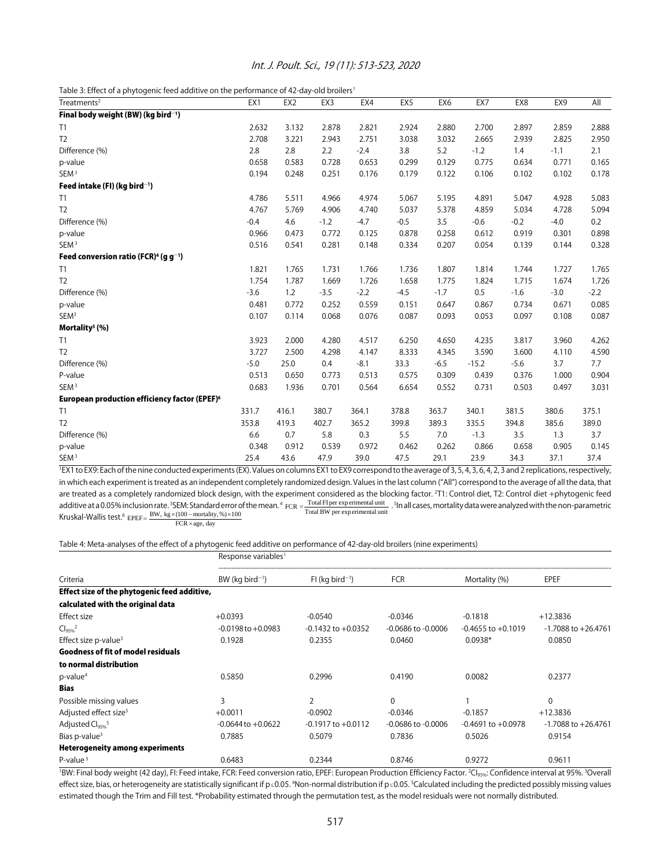| Int. J. Poult. Sci., 19 (11): 513-523, 2020 |  |  |  |
|---------------------------------------------|--|--|--|
|---------------------------------------------|--|--|--|

Table 3: Effect of a phytogenic feed additive on the performance of 42-day-old broilers<sup>1</sup>

| Treatments <sup>2</sup>                                       | EX1    | EX <sub>2</sub> | EX3    | EX4    | EX5    | EX <sub>6</sub> | EX7     | EX8    | EX9    | All    |
|---------------------------------------------------------------|--------|-----------------|--------|--------|--------|-----------------|---------|--------|--------|--------|
| Final body weight (BW) (kg bird <sup>-1</sup> )               |        |                 |        |        |        |                 |         |        |        |        |
| T1                                                            | 2.632  | 3.132           | 2.878  | 2.821  | 2.924  | 2.880           | 2.700   | 2.897  | 2.859  | 2.888  |
| T <sub>2</sub>                                                | 2.708  | 3.221           | 2.943  | 2.751  | 3.038  | 3.032           | 2.665   | 2.939  | 2.825  | 2.950  |
| Difference (%)                                                | 2.8    | 2.8             | 2.2    | $-2.4$ | 3.8    | 5.2             | $-1.2$  | 1.4    | $-1.1$ | 2.1    |
| p-value                                                       | 0.658  | 0.583           | 0.728  | 0.653  | 0.299  | 0.129           | 0.775   | 0.634  | 0.771  | 0.165  |
| SEM <sup>3</sup>                                              | 0.194  | 0.248           | 0.251  | 0.176  | 0.179  | 0.122           | 0.106   | 0.102  | 0.102  | 0.178  |
| Feed intake (FI) (kg bird <sup>-1</sup> )                     |        |                 |        |        |        |                 |         |        |        |        |
| T1                                                            | 4.786  | 5.511           | 4.966  | 4.974  | 5.067  | 5.195           | 4.891   | 5.047  | 4.928  | 5.083  |
| T <sub>2</sub>                                                | 4.767  | 5.769           | 4.906  | 4.740  | 5.037  | 5.378           | 4.859   | 5.034  | 4.728  | 5.094  |
| Difference (%)                                                | $-0.4$ | 4.6             | $-1.2$ | $-4.7$ | $-0.5$ | 3.5             | $-0.6$  | $-0.2$ | $-4.0$ | 0.2    |
| p-value                                                       | 0.966  | 0.473           | 0.772  | 0.125  | 0.878  | 0.258           | 0.612   | 0.919  | 0.301  | 0.898  |
| SEM <sup>3</sup>                                              | 0.516  | 0.541           | 0.281  | 0.148  | 0.334  | 0.207           | 0.054   | 0.139  | 0.144  | 0.328  |
| Feed conversion ratio (FCR) <sup>4</sup> (g g <sup>-1</sup> ) |        |                 |        |        |        |                 |         |        |        |        |
| T1                                                            | 1.821  | 1.765           | 1.731  | 1.766  | 1.736  | 1.807           | 1.814   | 1.744  | 1.727  | 1.765  |
| T <sub>2</sub>                                                | 1.754  | 1.787           | 1.669  | 1.726  | 1.658  | 1.775           | 1.824   | 1.715  | 1.674  | 1.726  |
| Difference (%)                                                | $-3.6$ | 1.2             | $-3.5$ | $-2.2$ | $-4.5$ | $-1.7$          | 0.5     | $-1.6$ | $-3.0$ | $-2.2$ |
| p-value                                                       | 0.481  | 0.772           | 0.252  | 0.559  | 0.151  | 0.647           | 0.867   | 0.734  | 0.671  | 0.085  |
| SEM <sup>3</sup>                                              | 0.107  | 0.114           | 0.068  | 0.076  | 0.087  | 0.093           | 0.053   | 0.097  | 0.108  | 0.087  |
| Mortality <sup>5</sup> (%)                                    |        |                 |        |        |        |                 |         |        |        |        |
| T1                                                            | 3.923  | 2.000           | 4.280  | 4.517  | 6.250  | 4.650           | 4.235   | 3.817  | 3.960  | 4.262  |
| T <sub>2</sub>                                                | 3.727  | 2.500           | 4.298  | 4.147  | 8.333  | 4.345           | 3.590   | 3.600  | 4.110  | 4.590  |
| Difference (%)                                                | $-5.0$ | 25.0            | 0.4    | $-8.1$ | 33.3   | $-6.5$          | $-15.2$ | $-5.6$ | 3.7    | 7.7    |
| P-value                                                       | 0.513  | 0.650           | 0.773  | 0.513  | 0.575  | 0.309           | 0.439   | 0.376  | 1.000  | 0.904  |
| SEM <sup>3</sup>                                              | 0.683  | 1.936           | 0.701  | 0.564  | 6.654  | 0.552           | 0.731   | 0.503  | 0.497  | 3.031  |
| European production efficiency factor (EPEF) <sup>6</sup>     |        |                 |        |        |        |                 |         |        |        |        |
| T1                                                            | 331.7  | 416.1           | 380.7  | 364.1  | 378.8  | 363.7           | 340.1   | 381.5  | 380.6  | 375.1  |
| T <sub>2</sub>                                                | 353.8  | 419.3           | 402.7  | 365.2  | 399.8  | 389.3           | 335.5   | 394.8  | 385.6  | 389.0  |
| Difference (%)                                                | 6.6    | 0.7             | 5.8    | 0.3    | 5.5    | 7.0             | $-1.3$  | 3.5    | 1.3    | 3.7    |
| p-value                                                       | 0.348  | 0.912           | 0.539  | 0.972  | 0.462  | 0.262           | 0.866   | 0.658  | 0.905  | 0.145  |
| SEM <sup>3</sup>                                              | 25.4   | 43.6            | 47.9   | 39.0   | 47.5   | 29.1            | 23.9    | 34.3   | 37.1   | 37.4   |

<sup>1</sup>EX1 to EX9: Each of the nine conducted experiments (EX). Values on columns EX1 to EX9 correspond to the average of 3, 5, 4, 3, 6, 4, 2, 3 and 2 replications, respectively, in which each experiment is treated as an independent completely randomized design. Values in the last column ("All") correspond to the average of all the data, that are treated as a completely randomized block design, with the experiment considered as the blocking factor. 2 T1: Control diet, T2: Control diet +phytogenic feed additive at a 0.05% inclusion rate. <sup>3</sup>SEM: Standard error of the mean. <sup>4</sup> FCR =  $\frac{Total FI per experimental unit}{Total BW per experimental unit}$ . <sup>5</sup>In all cases, mortality data were analyzed with the non-parametric **Kruskal-Wallis test.**<sup>6</sup>  $EPEF = \frac{BW, kg \times (100 - mortality, %) \times 100}{FCR \times age, day}$  Total

Table 4: Meta-analyses of the effect of a phytogenic feed additive on performance of 42-day-old broilers (nine experiments)

|                                              | Response variables <sup>1</sup> |                               |                        |                        |                         |  |  |
|----------------------------------------------|---------------------------------|-------------------------------|------------------------|------------------------|-------------------------|--|--|
| Criteria                                     | $BW$ (kg bird <sup>-1</sup> )   | $FI$ (kg bird <sup>-1</sup> ) | <b>FCR</b>             | Mortality (%)          | EPEF                    |  |  |
| Effect size of the phytogenic feed additive, |                                 |                               |                        |                        |                         |  |  |
| calculated with the original data            |                                 |                               |                        |                        |                         |  |  |
| <b>Effect size</b>                           | $+0.0393$                       | $-0.0540$                     | $-0.0346$              | $-0.1818$              | $+12.3836$              |  |  |
| Cl <sub>9596</sub> <sup>2</sup>              | $-0.0198$ to $+0.0983$          | $-0.1432$ to $+0.0352$        | $-0.0686$ to $-0.0006$ | $-0.4655$ to $+0.1019$ | $-1.7088$ to $+26.4761$ |  |  |
| Effect size p-value <sup>3</sup>             | 0.1928                          | 0.2355                        | 0.0460                 | $0.0938*$              | 0.0850                  |  |  |
| <b>Goodness of fit of model residuals</b>    |                                 |                               |                        |                        |                         |  |  |
| to normal distribution                       |                                 |                               |                        |                        |                         |  |  |
| $p$ -value <sup>4</sup>                      | 0.5850                          | 0.2996                        | 0.4190                 | 0.0082                 | 0.2377                  |  |  |
| <b>Bias</b>                                  |                                 |                               |                        |                        |                         |  |  |
| Possible missing values                      | 3                               | 2                             | 0                      |                        | $\Omega$                |  |  |
| Adjusted effect size <sup>5</sup>            | $+0.0011$                       | $-0.0902$                     | $-0.0346$              | $-0.1857$              | $+12.3836$              |  |  |
| Adjusted Cl <sub>95%</sub> <sup>5</sup>      | $-0.0644$ to $+0.0622$          | $-0.1917$ to $+0.0112$        | $-0.0686$ to $-0.0006$ | $-0.4691$ to $+0.0978$ | $-1.7088$ to $+26.4761$ |  |  |
| Bias p-value $3$                             | 0.7885                          | 0.5079                        | 0.7836                 | 0.5026                 | 0.9154                  |  |  |
| <b>Heterogeneity among experiments</b>       |                                 |                               |                        |                        |                         |  |  |
| $P$ -value <sup>3</sup><br>.                 | 0.6483                          | 0.2344                        | 0.8746                 | 0.9272                 | 0.9611                  |  |  |

<sup>1</sup>BW: Final body weight (42 day), Fl: Feed intake, FCR: Feed conversion ratio, EPEF: European Production Efficiency Factor. <sup>2</sup>Cl<sub>95%</sub>: Confidence interval at 95%. <sup>3</sup>Overall effect size, bias, or heterogeneity are statistically significant if p≤0.05. <sup>4</sup>Non-normal distribution if p≤0.05. <sup>5</sup>Calculated including the predicted possibly missing values estimated though the Trim and Fill test. \*Probability estimated through the permutation test, as the model residuals were not normally distributed.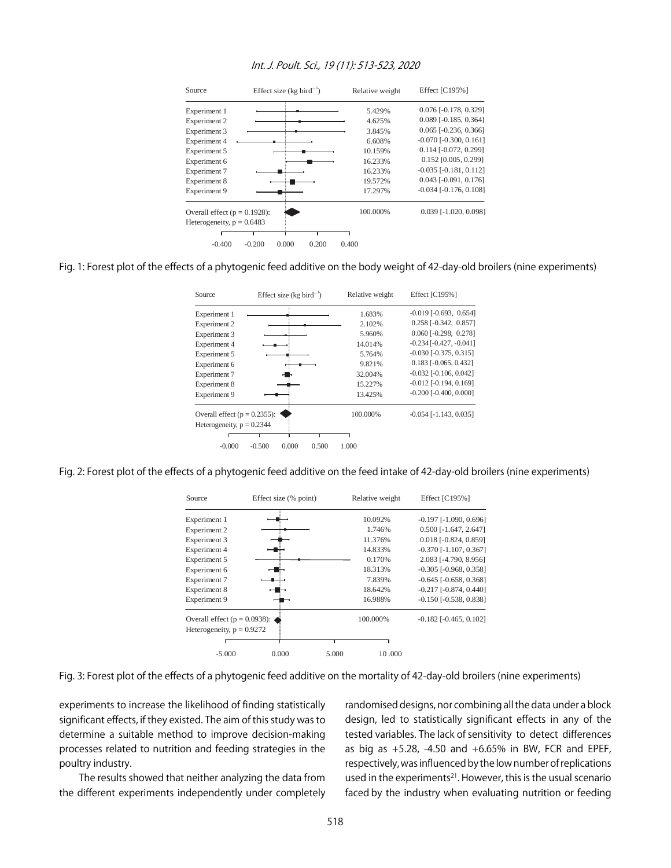

### Int. J. Poult. Sci., 19 (11): 513-523, 2020

Fig. 1: Forest plot of the effects of a phytogenic feed additive on the body weight of 42-day-old broilers (nine experiments)

| Source                           | Effect size ( $kg \text{ bird}^{-1}$ ) | Relative weight | Effect [C195%]                  |
|----------------------------------|----------------------------------------|-----------------|---------------------------------|
| Experiment 1                     |                                        | 1.683%          | $-0.019$ $[-0.693, 0.654]$      |
| Experiment 2                     |                                        | 2.102%          | $0.258$ [ $-0.342$ , $0.857$ ]  |
| Experiment 3                     |                                        | 5.960%          | $0.060$ [ $-0.298$ , $0.278$ ]  |
| Experiment 4                     |                                        | 14.014%         | $-0.234$ [ $-0.427, -0.041$ ]   |
| Experiment 5                     |                                        | 5.764%          | $-0.030$ [ $-0.375$ , $0.315$ ] |
| Experiment 6                     |                                        | 9.821%          | $0.183$ [-0.065, 0.432]         |
| Experiment 7                     |                                        | 32.004%         | $-0.032$ [ $-0.106$ , $0.042$ ] |
| Experiment 8                     |                                        | 15.227%         | $-0.012$ [ $-0.194$ , $0.169$ ] |
| Experiment 9                     |                                        | 13.425%         | $-0.200$ $[-0.400, 0.000]$      |
| Overall effect ( $p = 0.2355$ ): |                                        | 100.000%        | $-0.054$ [ $-1.143$ , $0.035$ ] |
| Heterogeneity, $p = 0.2344$      |                                        |                 |                                 |
|                                  |                                        |                 |                                 |
| $-0.000$                         | $-0.500$<br>0.000<br>0.500             | 1.000           |                                 |

Fig. 2: Forest plot of the effects of a phytogenic feed additive on the feed intake of 42-day-old broilers (nine experiments)

| Source                           | Effect size (% point) | Relative weight | Effect [C195%]                  |
|----------------------------------|-----------------------|-----------------|---------------------------------|
| Experiment 1                     |                       | 10.092%         | $-0.197$ [ $-1.090$ , $0.696$ ] |
| Experiment 2                     |                       | 1.746%          | $0.500$ [-1.647, 2.647]         |
| Experiment 3                     |                       | 11.376%         | $0.018$ [ $-0.824$ , $0.859$ ]  |
| Experiment 4                     |                       | 14.833%         | $-0.370$ [ $-1.107, 0.367$ ]    |
| Experiment 5                     |                       | 0.170%          | 2.083 [-4.790, 8.956]           |
| Experiment 6                     |                       | 18.313%         | $-0.305$ $[-0.968, 0.358]$      |
| Experiment 7                     |                       | 7.839%          | $-0.645$ [ $-0.658$ , $0.368$ ] |
| Experiment 8                     |                       | 18.642%         | $-0.217$ $[-0.874, 0.440]$      |
| Experiment 9                     |                       | 16.988%         | $-0.150$ $[-0.538, 0.838]$      |
| Overall effect ( $p = 0.0938$ ): |                       | 100.000%        | $-0.182$ [ $-0.465$ , $0.102$ ] |
| Heterogeneity, $p = 0.9272$      |                       |                 |                                 |
|                                  |                       |                 |                                 |
| $-5.000$                         | 0.000                 | 10.000<br>5.000 |                                 |

Fig. 3: Forest plot of the effects of a phytogenic feed additive on the mortality of 42-day-old broilers (nine experiments)

experiments to increase the likelihood of finding statistically significant effects, if they existed. The aim of this study was to determine a suitable method to improve decision-making processes related to nutrition and feeding strategies in the poultry industry.

The results showed that neither analyzing the data from the different experiments independently under completely randomised designs, nor combining all the data under a block design, led to statistically significant effects in any of the tested variables. The lack of sensitivity to detect differences as big as +5.28, -4.50 and +6.65% in BW, FCR and EPEF, respectively, was influenced by the low number of replications used in the experiments<sup>21</sup>. However, this is the usual scenario faced by the industry when evaluating nutrition or feeding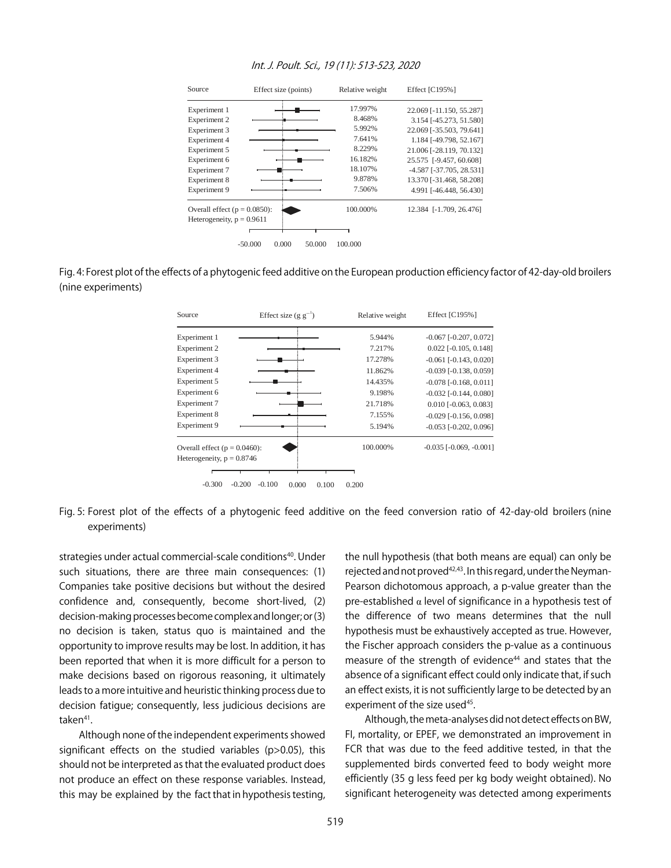

#### Int. J. Poult. Sci., 19 (11): 513-523, 2020

Fig. 4: Forest plot of the effects of a phytogenic feed additive on the European production efficiency factor of 42-day-old broilers (nine experiments)



Fig. 5: Forest plot of the effects of a phytogenic feed additive on the feed conversion ratio of 42-day-old broilers (nine experiments)

strategies under actual commercial-scale conditions<sup>40</sup>. Under such situations, there are three main consequences: (1) Companies take positive decisions but without the desired confidence and, consequently, become short-lived, (2) decision-making processes become complex and longer; or (3) no decision is taken, status quo is maintained and the opportunity to improve results may be lost. In addition, it has been reported that when it is more difficult for a person to make decisions based on rigorous reasoning, it ultimately leads to a more intuitive and heuristic thinking process due to decision fatigue; consequently, less judicious decisions are taken<sup>41</sup>.

Although none of the independent experiments showed significant effects on the studied variables (p>0.05), this should not be interpreted as that the evaluated product does not produce an effect on these response variables. Instead, this may be explained by the fact that in hypothesis testing, the null hypothesis (that both means are equal) can only be rejected and not proved<sup>42,43</sup>. In this regard, under the Neyman-Pearson dichotomous approach, a p-value greater than the pre-established  $\alpha$  level of significance in a hypothesis test of the difference of two means determines that the null hypothesis must be exhaustively accepted as true. However, the Fischer approach considers the p-value as a continuous measure of the strength of evidence<sup>44</sup> and states that the absence of a significant effect could only indicate that, if such an effect exists, it is not sufficiently large to be detected by an experiment of the size used<sup>45</sup>.

Although, the meta-analyses did not detect effects on BW, FI, mortality, or EPEF, we demonstrated an improvement in FCR that was due to the feed additive tested, in that the supplemented birds converted feed to body weight more efficiently (35 g less feed per kg body weight obtained). No significant heterogeneity was detected among experiments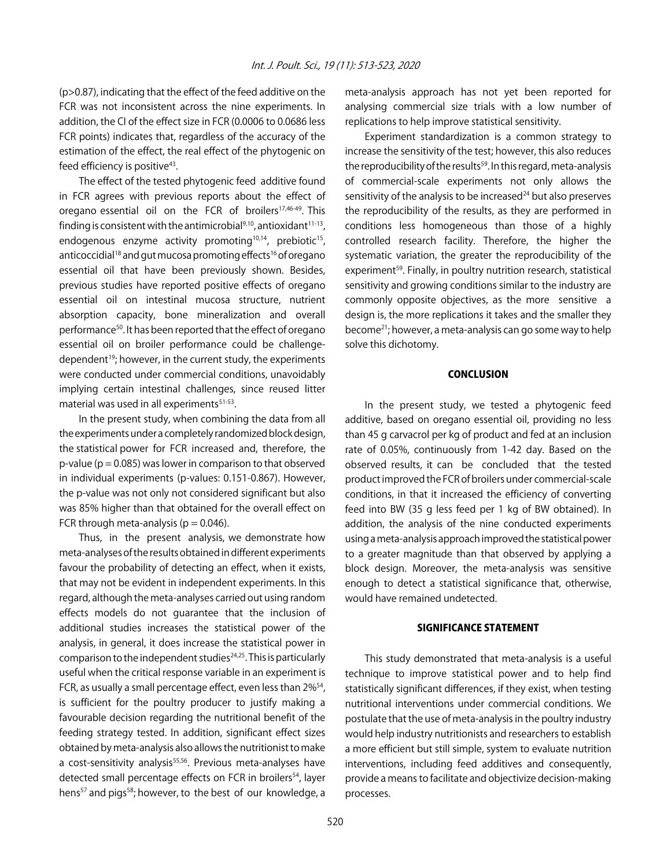(p>0.87), indicating that the effect of the feed additive on the FCR was not inconsistent across the nine experiments. In addition, the CI of the effect size in FCR (0.0006 to 0.0686 less FCR points) indicates that, regardless of the accuracy of the estimation of the effect, the real effect of the phytogenic on feed efficiency is positive<sup>43</sup>.

The effect of the tested phytogenic feed additive found in FCR agrees with previous reports about the effect of oregano essential oil on the FCR of broilers<sup>17,46-49</sup>. This finding is consistent with the antimicrobial $9,10$ , antioxidant $11-13$ , endogenous enzyme activity promoting $10,14$ , prebiotic<sup>15</sup>, anticoccidial<sup>18</sup> and gut mucosa promoting effects<sup>16</sup> of oregano essential oil that have been previously shown. Besides, previous studies have reported positive effects of oregano essential oil on intestinal mucosa structure, nutrient absorption capacity, bone mineralization and overall performance<sup>50</sup>. It has been reported that the effect of oregano essential oil on broiler performance could be challengedependent<sup>19</sup>; however, in the current study, the experiments were conducted under commercial conditions, unavoidably implying certain intestinal challenges, since reused litter material was used in all experiments<sup>51-53</sup>.

In the present study, when combining the data from all the experiments under a completely randomized block design, the statistical power for FCR increased and, therefore, the  $p$ -value ( $p = 0.085$ ) was lower in comparison to that observed in individual experiments (p-values: 0.151-0.867). However, the p-value was not only not considered significant but also was 85% higher than that obtained for the overall effect on FCR through meta-analysis ( $p = 0.046$ ).

Thus, in the present analysis, we demonstrate how meta-analyses of the results obtained in different experiments favour the probability of detecting an effect, when it exists, that may not be evident in independent experiments. In this regard, although the meta-analyses carried out using random effects models do not guarantee that the inclusion of additional studies increases the statistical power of the analysis, in general, it does increase the statistical power in comparison to the independent studies $24,25$ . This is particularly useful when the critical response variable in an experiment is FCR, as usually a small percentage effect, even less than 2%<sup>54</sup>, is sufficient for the poultry producer to justify making a favourable decision regarding the nutritional benefit of the feeding strategy tested. In addition, significant effect sizes obtained by meta-analysis also allows the nutritionist to make a cost-sensitivity analysis<sup>55,56</sup>. Previous meta-analyses have detected small percentage effects on FCR in broilers<sup>54</sup>, layer hens<sup>57</sup> and pigs<sup>58</sup>; however, to the best of our knowledge, a

meta-analysis approach has not yet been reported for analysing commercial size trials with a low number of replications to help improve statistical sensitivity.

Experiment standardization is a common strategy to increase the sensitivity of the test; however, this also reduces the reproducibility of the results<sup>59</sup>. In this regard, meta-analysis of commercial-scale experiments not only allows the sensitivity of the analysis to be increased<sup>24</sup> but also preserves the reproducibility of the results, as they are performed in conditions less homogeneous than those of a highly controlled research facility. Therefore, the higher the systematic variation, the greater the reproducibility of the experiment<sup>59</sup>. Finally, in poultry nutrition research, statistical sensitivity and growing conditions similar to the industry are commonly opposite objectives, as the more sensitive a design is, the more replications it takes and the smaller they become21; however, a meta-analysis can go some way to help solve this dichotomy.

# **CONCLUSION**

In the present study, we tested a phytogenic feed additive, based on oregano essential oil, providing no less than 45 g carvacrol per kg of product and fed at an inclusion rate of 0.05%, continuously from 1-42 day. Based on the observed results, it can be concluded that the tested product improved the FCR of broilers under commercial-scale conditions, in that it increased the efficiency of converting feed into BW (35 g less feed per 1 kg of BW obtained). In addition, the analysis of the nine conducted experiments using a meta-analysis approach improved the statistical power to a greater magnitude than that observed by applying a block design. Moreover, the meta-analysis was sensitive enough to detect a statistical significance that, otherwise, would have remained undetected.

### SIGNIFICANCE STATEMENT

This study demonstrated that meta-analysis is a useful technique to improve statistical power and to help find statistically significant differences, if they exist, when testing nutritional interventions under commercial conditions. We postulate that the use of meta-analysis in the poultry industry would help industry nutritionists and researchers to establish a more efficient but still simple, system to evaluate nutrition interventions, including feed additives and consequently, provide a means to facilitate and objectivize decision-making processes.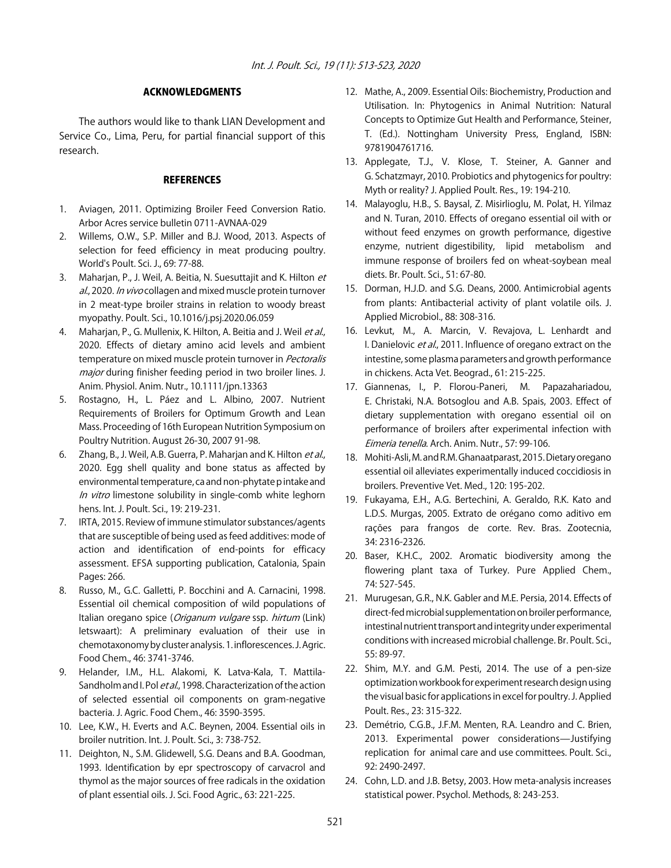# ACKNOWLEDGMENTS

The authors would like to thank LIAN Development and Service Co., Lima, Peru, for partial financial support of this research.

# **REFERENCES**

- 1. Aviagen, 2011. Optimizing Broiler Feed Conversion Ratio. Arbor Acres service bulletin 0711-AVNAA-029
- 2. Willems, O.W., S.P. Miller and B.J. Wood, 2013. Aspects of selection for feed efficiency in meat producing poultry. World's Poult. Sci. J., 69: 77-88.
- 3. Maharjan, P., J. Weil, A. Beitia, N. Suesuttajit and K. Hilton et al., 2020. In vivo collagen and mixed muscle protein turnover in 2 meat-type broiler strains in relation to woody breast myopathy. Poult. Sci., 10.1016/j.psj.2020.06.059
- 4. Maharjan, P., G. Mullenix, K. Hilton, A. Beitia and J. Weil et al., 2020. Effects of dietary amino acid levels and ambient temperature on mixed muscle protein turnover in Pectoralis major during finisher feeding period in two broiler lines. J. Anim. Physiol. Anim. Nutr., 10.1111/jpn.13363
- 5. Rostagno, H., L. Páez and L. Albino, 2007. Nutrient Requirements of Broilers for Optimum Growth and Lean Mass. Proceeding of 16th European Nutrition Symposium on Poultry Nutrition. August 26-30, 2007 91-98.
- 6. Zhang, B., J. Weil, A.B. Guerra, P. Maharjan and K. Hilton et al., 2020. Egg shell quality and bone status as affected by environmental temperature, ca and non-phytate p intake and In vitro limestone solubility in single-comb white leghorn hens. Int. J. Poult. Sci., 19: 219-231.
- 7. IRTA, 2015. Review of immune stimulator substances/agents that are susceptible of being used as feed additives: mode of action and identification of end-points for efficacy assessment. EFSA supporting publication, Catalonia, Spain Pages: 266.
- 8. Russo, M., G.C. Galletti, P. Bocchini and A. Carnacini, 1998. Essential oil chemical composition of wild populations of Italian oregano spice (Origanum vulgare ssp. hirtum (Link) Ietswaart): A preliminary evaluation of their use in chemotaxonomy by cluster analysis. 1. inflorescences. J. Agric. Food Chem., 46: 3741-3746.
- 9. Helander, I.M., H.L. Alakomi, K. Latva-Kala, T. Mattila-Sandholm and I. Pol et al., 1998. Characterization of the action of selected essential oil components on gram-negative bacteria. J. Agric. Food Chem., 46: 3590-3595.
- 10. Lee, K.W., H. Everts and A.C. Beynen, 2004. Essential oils in broiler nutrition. Int. J. Poult. Sci., 3: 738-752.
- 11. Deighton, N., S.M. Glidewell, S.G. Deans and B.A. Goodman, 1993. Identification by epr spectroscopy of carvacrol and thymol as the major sources of free radicals in the oxidation of plant essential oils. J. Sci. Food Agric., 63: 221-225.
- 12. Mathe, A., 2009. Essential Oils: Biochemistry, Production and Utilisation. In: Phytogenics in Animal Nutrition: Natural Concepts to Optimize Gut Health and Performance, Steiner, T. (Ed.). Nottingham University Press, England, ISBN: 9781904761716.
- 13. Applegate, T.J., V. Klose, T. Steiner, A. Ganner and G. Schatzmayr, 2010. Probiotics and phytogenics for poultry: Myth or reality? J. Applied Poult. Res., 19: 194-210.
- 14. Malayoglu, H.B., S. Baysal, Z. Misirlioglu, M. Polat, H. Yilmaz and N. Turan, 2010. Effects of oregano essential oil with or without feed enzymes on growth performance, digestive enzyme, nutrient digestibility, lipid metabolism and immune response of broilers fed on wheat-soybean meal diets. Br. Poult. Sci., 51: 67-80.
- 15. Dorman, H.J.D. and S.G. Deans, 2000. Antimicrobial agents from plants: Antibacterial activity of plant volatile oils. J. Applied Microbiol., 88: 308-316.
- 16. Levkut, M., A. Marcin, V. Revajova, L. Lenhardt and I. Danielovic et al., 2011. Influence of oregano extract on the intestine, some plasma parameters and growth performance in chickens. Acta Vet. Beograd., 61: 215-225.
- 17. Giannenas, I., P. Florou-Paneri, M. Papazahariadou, E. Christaki, N.A. Botsoglou and A.B. Spais, 2003. Effect of dietary supplementation with oregano essential oil on performance of broilers after experimental infection with Eimeria tenella. Arch. Anim. Nutr., 57: 99-106.
- 18. Mohiti-Asli, M. and R.M. Ghanaatparast, 2015. Dietary oregano essential oil alleviates experimentally induced coccidiosis in broilers. Preventive Vet. Med., 120: 195-202.
- 19. Fukayama, E.H., A.G. Bertechini, A. Geraldo, R.K. Kato and L.D.S. Murgas, 2005. Extrato de orégano como aditivo em rações para frangos de corte. Rev. Bras. Zootecnia, 34: 2316-2326.
- 20. Baser, K.H.C., 2002. Aromatic biodiversity among the flowering plant taxa of Turkey. Pure Applied Chem., 74: 527-545.
- 21. Murugesan, G.R., N.K. Gabler and M.E. Persia, 2014. Effects of direct-fed microbial supplementation on broiler performance, intestinal nutrient transport and integrity under experimental conditions with increased microbial challenge. Br. Poult. Sci., 55: 89-97.
- 22. Shim, M.Y. and G.M. Pesti, 2014. The use of a pen-size optimization workbook for experiment research design using the visual basic for applications in excel for poultry. J. Applied Poult. Res., 23: 315-322.
- 23. Demétrio, C.G.B., J.F.M. Menten, R.A. Leandro and C. Brien, 2013. Experimental power considerations̶Justifying replication for animal care and use committees. Poult. Sci., 92: 2490-2497.
- 24. Cohn, L.D. and J.B. Betsy, 2003. How meta-analysis increases statistical power. Psychol. Methods, 8: 243-253.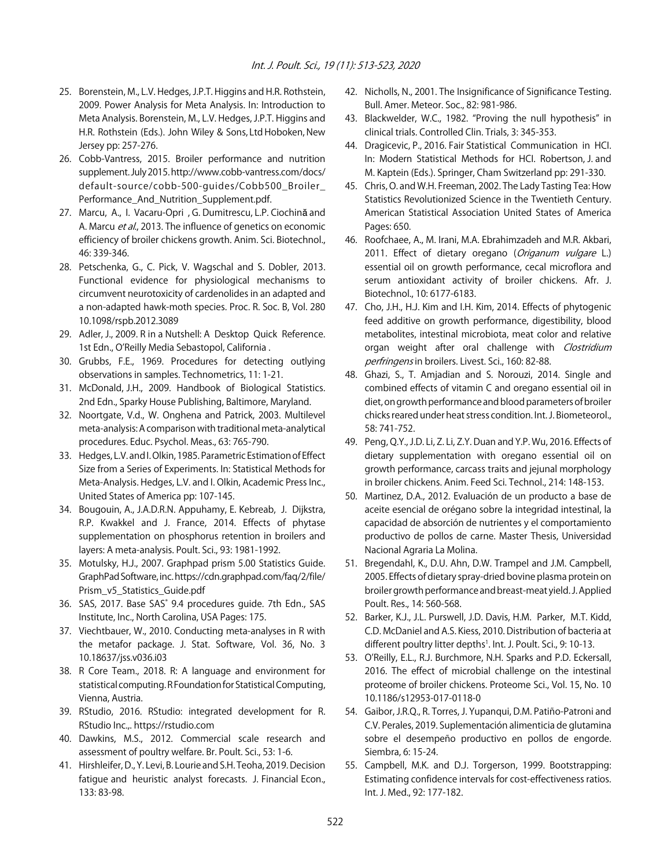- 25. Borenstein, M., L.V. Hedges, J.P.T. Higgins and H.R. Rothstein, 2009. Power Analysis for Meta Analysis. In: Introduction to Meta Analysis. Borenstein, M., L.V. Hedges, J.P.T. Higgins and H.R. Rothstein (Eds.). John Wiley & Sons, Ltd Hoboken, New Jersey pp: 257-276.
- 26. Cobb-Vantress, 2015. Broiler performance and nutrition supplement. July 2015. http://www.cobb-vantress.com/docs/ default-source/cobb-500-guides/Cobb500\_Broiler\_ Performance\_And\_Nutrition\_Supplement.pdf.
- 27. Marcu, A., I. Vacaru-Opri, G. Dumitrescu, L.P. Ciochină and A. Marcu et al., 2013. The influence of genetics on economic efficiency of broiler chickens growth. Anim. Sci. Biotechnol., 46: 339-346.
- 28. Petschenka, G., C. Pick, V. Wagschal and S. Dobler, 2013. Functional evidence for physiological mechanisms to circumvent neurotoxicity of cardenolides in an adapted and a non-adapted hawk-moth species. Proc. R. Soc. B, Vol. 280 10.1098/rspb.2012.3089
- 29. Adler, J., 2009. R in a Nutshell: A Desktop Quick Reference. 1st Edn., O'Reilly Media Sebastopol, California .
- 30. Grubbs, F.E., 1969. Procedures for detecting outlying observations in samples. Technometrics, 11: 1-21.
- 31. McDonald, J.H., 2009. Handbook of Biological Statistics. 2nd Edn., Sparky House Publishing, Baltimore, Maryland.
- 32. Noortgate, V.d., W. Onghena and Patrick, 2003. Multilevel meta-analysis: A comparison with traditional meta-analytical procedures. Educ. Psychol. Meas., 63: 765-790.
- 33. Hedges, L.V. and I. Olkin, 1985. Parametric Estimation of Effect Size from a Series of Experiments. In: Statistical Methods for Meta-Analysis. Hedges, L.V. and I. Olkin, Academic Press Inc., United States of America pp: 107-145.
- 34. Bougouin, A., J.A.D.R.N. Appuhamy, E. Kebreab, J. Dijkstra, R.P. Kwakkel and J. France, 2014. Effects of phytase supplementation on phosphorus retention in broilers and layers: A meta-analysis. Poult. Sci., 93: 1981-1992.
- 35. Motulsky, H.J., 2007. Graphpad prism 5.00 Statistics Guide. GraphPad Software, inc. https://cdn.graphpad.com/faq/2/file/ Prism\_v5\_Statistics\_Guide.pdf
- 36. SAS, 2017. Base SAS<sup>®</sup> 9.4 procedures quide. 7th Edn., SAS Institute, Inc., North Carolina, USA Pages: 175.
- 37. Viechtbauer, W., 2010. Conducting meta-analyses in R with the metafor package. J. Stat. Software, Vol. 36, No. 3 10.18637/jss.v036.i03
- 38. R Core Team., 2018. R: A language and environment for statistical computing. R Foundation for Statistical Computing, Vienna, Austria.
- 39. RStudio, 2016. RStudio: integrated development for R. RStudio Inc.,. https://rstudio.com
- 40. Dawkins, M.S., 2012. Commercial scale research and assessment of poultry welfare. Br. Poult. Sci., 53: 1-6.
- 41. Hirshleifer, D., Y. Levi, B. Lourie and S.H. Teoha, 2019. Decision fatigue and heuristic analyst forecasts. J. Financial Econ., 133: 83-98.
- 42. Nicholls, N., 2001. The Insignificance of Significance Testing. Bull. Amer. Meteor. Soc., 82: 981-986.
- 43. Blackwelder, W.C., 1982. "Proving the null hypothesis" in clinical trials. Controlled Clin. Trials, 3: 345-353.
- 44. Dragicevic, P., 2016. Fair Statistical Communication in HCI. In: Modern Statistical Methods for HCI. Robertson, J. and M. Kaptein (Eds.). Springer, Cham Switzerland pp: 291-330.
- 45. Chris, O. and W.H. Freeman, 2002. The Lady Tasting Tea: How Statistics Revolutionized Science in the Twentieth Century. American Statistical Association United States of America Pages: 650.
- 46. Roofchaee, A., M. Irani, M.A. Ebrahimzadeh and M.R. Akbari, 2011. Effect of dietary oregano (Origanum vulgare L.) essential oil on growth performance, cecal microflora and serum antioxidant activity of broiler chickens. Afr. J. Biotechnol., 10: 6177-6183.
- 47. Cho, J.H., H.J. Kim and I.H. Kim, 2014. Effects of phytogenic feed additive on growth performance, digestibility, blood metabolites, intestinal microbiota, meat color and relative organ weight after oral challenge with Clostridium perfringens in broilers. Livest. Sci., 160: 82-88.
- 48. Ghazi, S., T. Amjadian and S. Norouzi, 2014. Single and combined effects of vitamin C and oregano essential oil in diet, on growth performance and blood parameters of broiler chicks reared under heat stress condition. Int. J. Biometeorol., 58: 741-752.
- 49. Peng, Q.Y., J.D. Li, Z. Li, Z.Y. Duan and Y.P. Wu, 2016. Effects of dietary supplementation with oregano essential oil on growth performance, carcass traits and jejunal morphology in broiler chickens. Anim. Feed Sci. Technol., 214: 148-153.
- 50. Martinez, D.A., 2012. Evaluación de un producto a base de aceite esencial de orégano sobre la integridad intestinal, la capacidad de absorción de nutrientes y el comportamiento productivo de pollos de carne. Master Thesis, Universidad Nacional Agraria La Molina.
- 51. Bregendahl, K., D.U. Ahn, D.W. Trampel and J.M. Campbell, 2005. Effects of dietary spray-dried bovine plasma protein on broiler growth performance and breast-meat yield. J. Applied Poult. Res., 14: 560-568.
- 52. Barker, K.J., J.L. Purswell, J.D. Davis, H.M. Parker, M.T. Kidd, C.D. McDaniel and A.S. Kiess, 2010. Distribution of bacteria at different poultry litter depths<sup>1</sup>. Int. J. Poult. Sci., 9: 10-13.
- 53. O'Reilly, E.L., R.J. Burchmore, N.H. Sparks and P.D. Eckersall, 2016. The effect of microbial challenge on the intestinal proteome of broiler chickens. Proteome Sci., Vol. 15, No. 10 10.1186/s12953-017-0118-0
- 54. Gaibor, J.R.Q., R. Torres, J. Yupanqui, D.M. Patiño-Patroni and C.V. Perales, 2019. Suplementación alimenticia de glutamina sobre el desempeño productivo en pollos de engorde. Siembra, 6: 15-24.
- 55. Campbell, M.K. and D.J. Torgerson, 1999. Bootstrapping: Estimating confidence intervals for cost-effectiveness ratios. Int. J. Med., 92: 177-182.